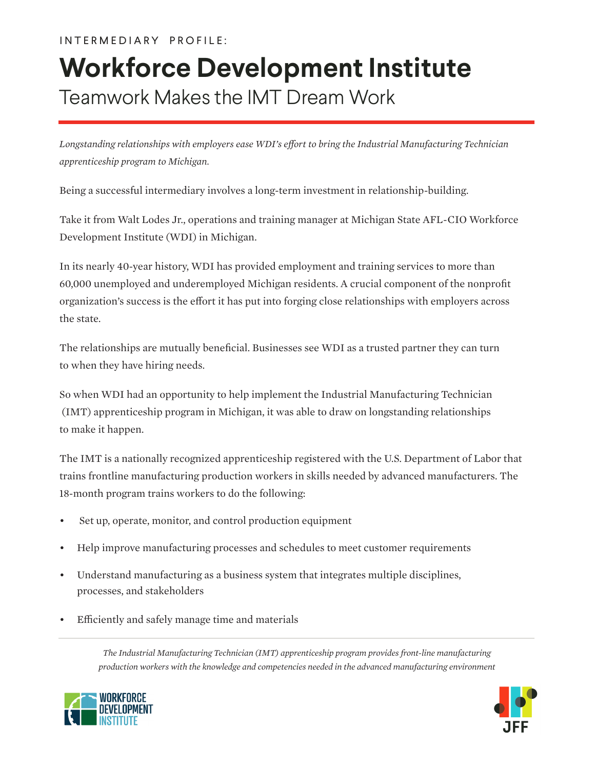## Teamwork Makes the IMT Dream Work **Workforce Development Institute**

*Longstanding relationships with employers ease WDI's effort to bring the Industrial Manufacturing Technician apprenticeship program to Michigan.*

Being a successful intermediary involves a long-term investment in relationship-building.

Take it from Walt Lodes Jr., operations and training manager at Michigan State AFL-CIO Workforce Development Institute (WDI) in Michigan.

In its nearly 40-year history, WDI has provided employment and training services to more than 60,000 unemployed and underemployed Michigan residents. A crucial component of the nonprofit organization's success is the effort it has put into forging close relationships with employers across the state.

The relationships are mutually beneficial. Businesses see WDI as a trusted partner they can turn to when they have hiring needs.

So when WDI had an opportunity to help implement the Industrial Manufacturing Technician (IMT) apprenticeship program in Michigan, it was able to draw on longstanding relationships to make it happen.

The IMT is a nationally recognized apprenticeship registered with the U.S. Department of Labor that trains frontline manufacturing production workers in skills needed by advanced manufacturers. The 18-month program trains workers to do the following:

- Set up, operate, monitor, and control production equipment
- Help improve manufacturing processes and schedules to meet customer requirements
- Understand manufacturing as a business system that integrates multiple disciplines, processes, and stakeholders
- Efficiently and safely manage time and materials

*The Industrial Manufacturing Technician (IMT) apprenticeship program provides front-line manufacturing production workers with the knowledge and competencies needed in the advanced manufacturing environment*



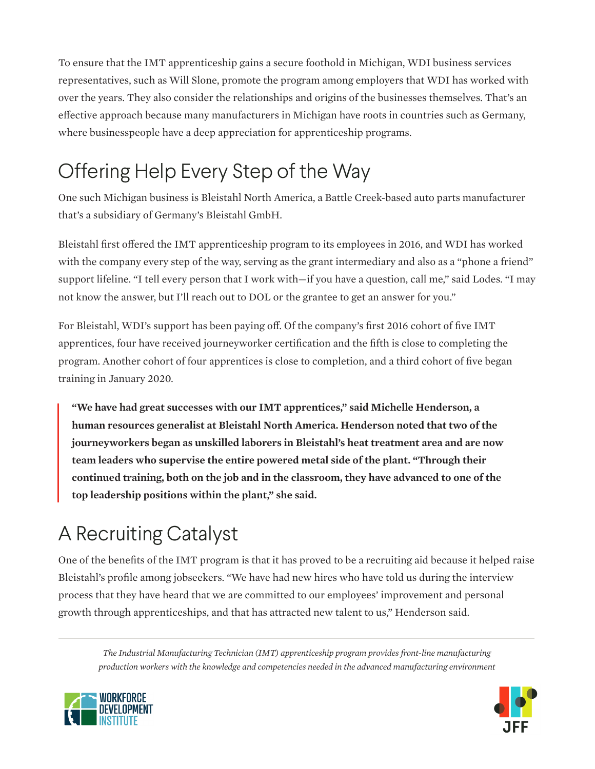To ensure that the IMT apprenticeship gains a secure foothold in Michigan, WDI business services representatives, such as Will Slone, promote the program among employers that WDI has worked with over the years. They also consider the relationships and origins of the businesses themselves. That's an effective approach because many manufacturers in Michigan have roots in countries such as Germany, where businesspeople have a deep appreciation for apprenticeship programs.

## Offering Help Every Step of the Way

One such Michigan business is Bleistahl North America, a Battle Creek-based auto parts manufacturer that's a subsidiary of Germany's Bleistahl GmbH.

Bleistahl first offered the IMT apprenticeship program to its employees in 2016, and WDI has worked with the company every step of the way, serving as the grant intermediary and also as a "phone a friend" support lifeline. "I tell every person that I work with—if you have a question, call me," said Lodes. "I may not know the answer, but I'll reach out to DOL or the grantee to get an answer for you."

For Bleistahl, WDI's support has been paying off. Of the company's first 2016 cohort of five IMT apprentices, four have received journeyworker certification and the fifth is close to completing the program. Another cohort of four apprentices is close to completion, and a third cohort of five began training in January 2020.

**"We have had great successes with our IMT apprentices," said Michelle Henderson, a human resources generalist at Bleistahl North America. Henderson noted that two of the journeyworkers began as unskilled laborers in Bleistahl's heat treatment area and are now team leaders who supervise the entire powered metal side of the plant. "Through their continued training, both on the job and in the classroom, they have advanced to one of the top leadership positions within the plant," she said.**

## A Recruiting Catalyst

One of the benefits of the IMT program is that it has proved to be a recruiting aid because it helped raise Bleistahl's profile among jobseekers. "We have had new hires who have told us during the interview process that they have heard that we are committed to our employees' improvement and personal growth through apprenticeships, and that has attracted new talent to us," Henderson said.

*The Industrial Manufacturing Technician (IMT) apprenticeship program provides front-line manufacturing production workers with the knowledge and competencies needed in the advanced manufacturing environment*